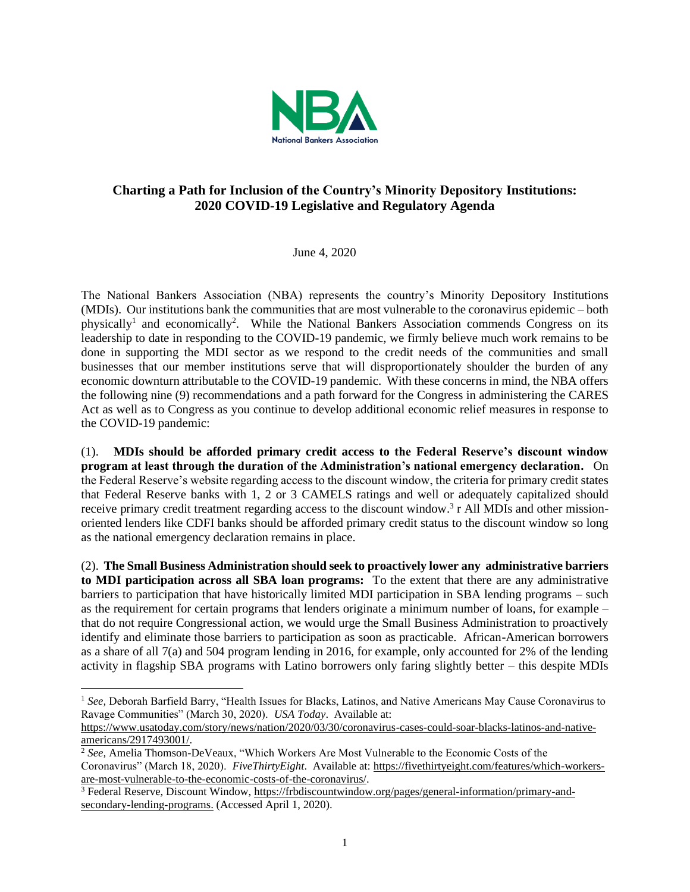

## **Charting a Path for Inclusion of the Country's Minority Depository Institutions: 2020 COVID-19 Legislative and Regulatory Agenda**

June 4, 2020

The National Bankers Association (NBA) represents the country's Minority Depository Institutions (MDIs). Our institutions bank the communities that are most vulnerable to the coronavirus epidemic – both physically<sup>1</sup> and economically<sup>2</sup>. While the National Bankers Association commends Congress on its leadership to date in responding to the COVID-19 pandemic, we firmly believe much work remains to be done in supporting the MDI sector as we respond to the credit needs of the communities and small businesses that our member institutions serve that will disproportionately shoulder the burden of any economic downturn attributable to the COVID-19 pandemic. With these concerns in mind, the NBA offers the following nine (9) recommendations and a path forward for the Congress in administering the CARES Act as well as to Congress as you continue to develop additional economic relief measures in response to the COVID-19 pandemic:

(1). **MDIs should be afforded primary credit access to the Federal Reserve's discount window program at least through the duration of the Administration's national emergency declaration.** On the Federal Reserve's website regarding access to the discount window, the criteria for primary credit states that Federal Reserve banks with 1, 2 or 3 CAMELS ratings and well or adequately capitalized should receive primary credit treatment regarding access to the discount window.<sup>3</sup> r All MDIs and other missionoriented lenders like CDFI banks should be afforded primary credit status to the discount window so long as the national emergency declaration remains in place.

(2). **The Small Business Administration should seek to proactively lower any administrative barriers to MDI participation across all SBA loan programs:** To the extent that there are any administrative barriers to participation that have historically limited MDI participation in SBA lending programs – such as the requirement for certain programs that lenders originate a minimum number of loans, for example – that do not require Congressional action, we would urge the Small Business Administration to proactively identify and eliminate those barriers to participation as soon as practicable. African-American borrowers as a share of all 7(a) and 504 program lending in 2016, for example, only accounted for 2% of the lending activity in flagship SBA programs with Latino borrowers only faring slightly better – this despite MDIs

<sup>&</sup>lt;sup>1</sup> See, Deborah Barfield Barry, "Health Issues for Blacks, Latinos, and Native Americans May Cause Coronavirus to Ravage Communities" (March 30, 2020). *USA Today*. Available at:

[https://www.usatoday.com/story/news/nation/2020/03/30/coronavirus-cases-could-soar-blacks-latinos-and-native](https://www.usatoday.com/story/news/nation/2020/03/30/coronavirus-cases-could-soar-blacks-latinos-and-native-americans/2917493001/)[americans/2917493001/.](https://www.usatoday.com/story/news/nation/2020/03/30/coronavirus-cases-could-soar-blacks-latinos-and-native-americans/2917493001/)

<sup>2</sup> *See,* Amelia Thomson-DeVeaux, "Which Workers Are Most Vulnerable to the Economic Costs of the Coronavirus" (March 18, 2020). *FiveThirtyEight*. Available at: [https://fivethirtyeight.com/features/which-workers](https://fivethirtyeight.com/features/which-workers-are-most-vulnerable-to-the-economic-costs-of-the-coronavirus/)[are-most-vulnerable-to-the-economic-costs-of-the-coronavirus/.](https://fivethirtyeight.com/features/which-workers-are-most-vulnerable-to-the-economic-costs-of-the-coronavirus/)

<sup>&</sup>lt;sup>3</sup> Federal Reserve, Discount Window, [https://frbdiscountwindow.org/pages/general-information/primary-and](https://frbdiscountwindow.org/pages/general-information/primary-and-secondary-lending-programs)[secondary-lending-programs.](https://frbdiscountwindow.org/pages/general-information/primary-and-secondary-lending-programs) (Accessed April 1, 2020).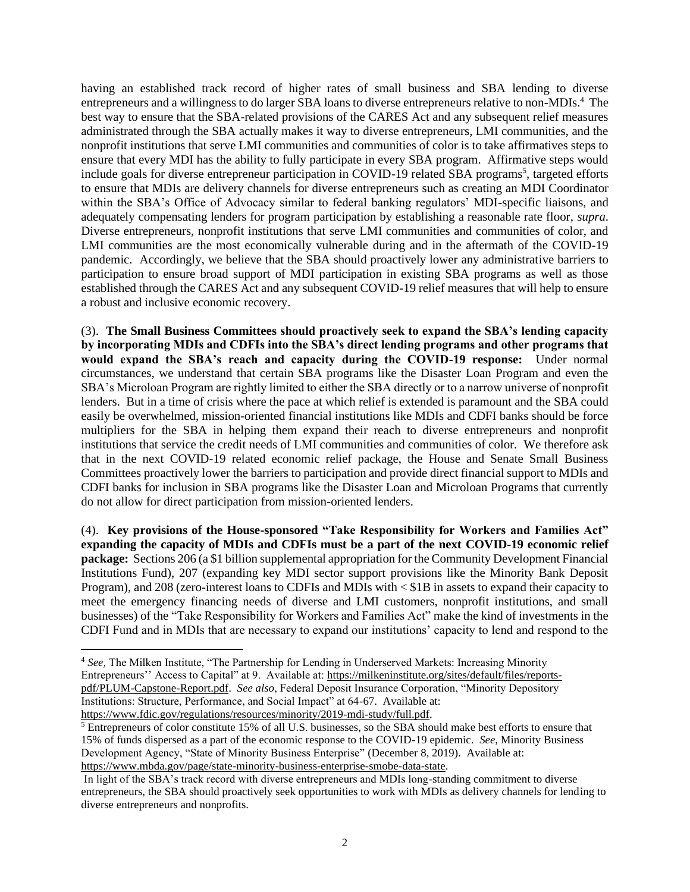having an established track record of higher rates of small business and SBA lending to diverse entrepreneurs and a willingness to do larger SBA loans to diverse entrepreneurs relative to non-MDIs.<sup>4</sup> The best way to ensure that the SBA-related provisions of the CARES Act and any subsequent relief measures administrated through the SBA actually makes it way to diverse entrepreneurs, LMI communities, and the nonprofit institutions that serve LMI communities and communities of color is to take affirmatives steps to ensure that every MDI has the ability to fully participate in every SBA program. Affirmative steps would include goals for diverse entrepreneur participation in COVID-19 related SBA programs<sup>5</sup>, targeted efforts to ensure that MDIs are delivery channels for diverse entrepreneurs such as creating an MDI Coordinator within the SBA's Office of Advocacy similar to federal banking regulators' MDI-specific liaisons, and adequately compensating lenders for program participation by establishing a reasonable rate floor, *supra*. Diverse entrepreneurs, nonprofit institutions that serve LMI communities and communities of color, and LMI communities are the most economically vulnerable during and in the aftermath of the COVID-19 pandemic. Accordingly, we believe that the SBA should proactively lower any administrative barriers to participation to ensure broad support of MDI participation in existing SBA programs as well as those established through the CARES Act and any subsequent COVID-19 relief measures that will help to ensure a robust and inclusive economic recovery.

(3). **The Small Business Committees should proactively seek to expand the SBA's lending capacity by incorporating MDIs and CDFIs into the SBA's direct lending programs and other programs that would expand the SBA's reach and capacity during the COVID-19 response:** Under normal circumstances, we understand that certain SBA programs like the Disaster Loan Program and even the SBA's Microloan Program are rightly limited to either the SBA directly or to a narrow universe of nonprofit lenders. But in a time of crisis where the pace at which relief is extended is paramount and the SBA could easily be overwhelmed, mission-oriented financial institutions like MDIs and CDFI banks should be force multipliers for the SBA in helping them expand their reach to diverse entrepreneurs and nonprofit institutions that service the credit needs of LMI communities and communities of color. We therefore ask that in the next COVID-19 related economic relief package, the House and Senate Small Business Committees proactively lower the barriers to participation and provide direct financial support to MDIs and CDFI banks for inclusion in SBA programs like the Disaster Loan and Microloan Programs that currently do not allow for direct participation from mission-oriented lenders.

(4). **Key provisions of the House-sponsored "Take Responsibility for Workers and Families Act" expanding the capacity of MDIs and CDFIs must be a part of the next COVID-19 economic relief package:** Sections 206 (a \$1 billion supplemental appropriation for the Community Development Financial Institutions Fund), 207 (expanding key MDI sector support provisions like the Minority Bank Deposit Program), and 208 (zero-interest loans to CDFIs and MDIs with < \$1B in assets to expand their capacity to meet the emergency financing needs of diverse and LMI customers, nonprofit institutions, and small businesses) of the "Take Responsibility for Workers and Families Act" make the kind of investments in the CDFI Fund and in MDIs that are necessary to expand our institutions' capacity to lend and respond to the

<sup>4</sup> *See,* The Milken Institute, "The Partnership for Lending in Underserved Markets: Increasing Minority Entrepreneurs'' Access to Capital" at 9. Available at: [https://milkeninstitute.org/sites/default/files/reports](https://milkeninstitute.org/sites/default/files/reports-pdf/PLUM-Capstone-Report.pdf)[pdf/PLUM-Capstone-Report.pdf.](https://milkeninstitute.org/sites/default/files/reports-pdf/PLUM-Capstone-Report.pdf) *See also*, Federal Deposit Insurance Corporation, "Minority Depository Institutions: Structure, Performance, and Social Impact" at 64-67. Available at: [https://www.fdic.gov/regulations/resources/minority/2019-mdi-study/full.pdf.](https://www.fdic.gov/regulations/resources/minority/2019-mdi-study/full.pdf)

<sup>&</sup>lt;sup>5</sup> Entrepreneurs of color constitute 15% of all U.S. businesses, so the SBA should make best efforts to ensure that 15% of funds dispersed as a part of the economic response to the COVID-19 epidemic. *See*, Minority Business Development Agency, "State of Minority Business Enterprise" (December 8, 2019). Available at: [https://www.mbda.gov/page/state-minority-business-enterprise-smobe-data-state.](https://www.mbda.gov/page/state-minority-business-enterprise-smobe-data-state) 

In light of the SBA's track record with diverse entrepreneurs and MDIs long-standing commitment to diverse entrepreneurs, the SBA should proactively seek opportunities to work with MDIs as delivery channels for lending to diverse entrepreneurs and nonprofits.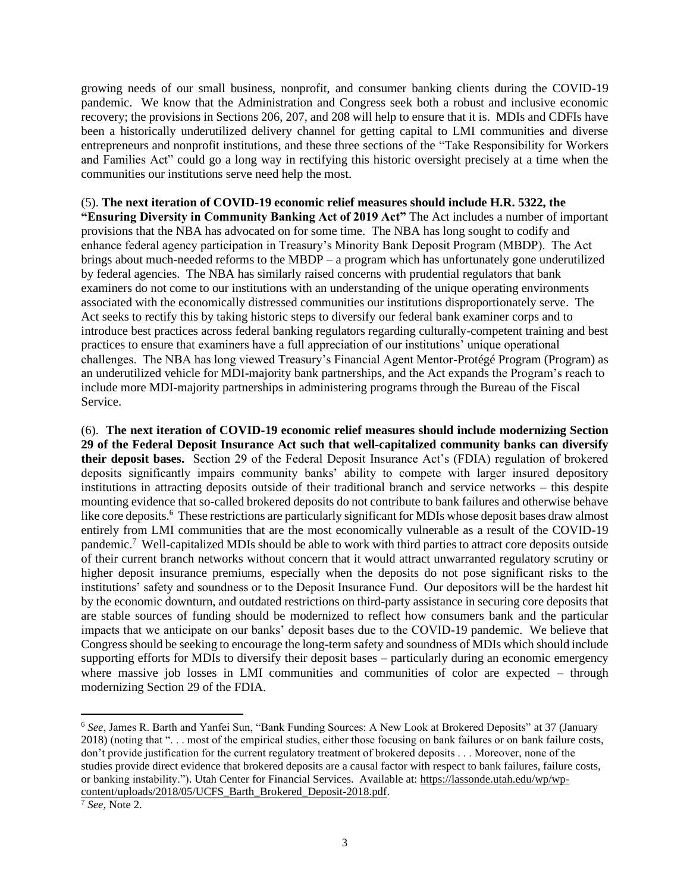growing needs of our small business, nonprofit, and consumer banking clients during the COVID-19 pandemic. We know that the Administration and Congress seek both a robust and inclusive economic recovery; the provisions in Sections 206, 207, and 208 will help to ensure that it is. MDIs and CDFIs have been a historically underutilized delivery channel for getting capital to LMI communities and diverse entrepreneurs and nonprofit institutions, and these three sections of the "Take Responsibility for Workers and Families Act" could go a long way in rectifying this historic oversight precisely at a time when the communities our institutions serve need help the most.

## (5). **The next iteration of COVID-19 economic relief measures should include H.R. 5322, the**

**"Ensuring Diversity in Community Banking Act of 2019 Act"** The Act includes a number of important provisions that the NBA has advocated on for some time. The NBA has long sought to codify and enhance federal agency participation in Treasury's Minority Bank Deposit Program (MBDP). The Act brings about much-needed reforms to the MBDP – a program which has unfortunately gone underutilized by federal agencies. The NBA has similarly raised concerns with prudential regulators that bank examiners do not come to our institutions with an understanding of the unique operating environments associated with the economically distressed communities our institutions disproportionately serve. The Act seeks to rectify this by taking historic steps to diversify our federal bank examiner corps and to introduce best practices across federal banking regulators regarding culturally-competent training and best practices to ensure that examiners have a full appreciation of our institutions' unique operational challenges. The NBA has long viewed Treasury's Financial Agent Mentor-Protégé Program (Program) as an underutilized vehicle for MDI-majority bank partnerships, and the Act expands the Program's reach to include more MDI-majority partnerships in administering programs through the Bureau of the Fiscal Service.

(6). **The next iteration of COVID-19 economic relief measures should include modernizing Section 29 of the Federal Deposit Insurance Act such that well-capitalized community banks can diversify their deposit bases.** Section 29 of the Federal Deposit Insurance Act's (FDIA) regulation of brokered deposits significantly impairs community banks' ability to compete with larger insured depository institutions in attracting deposits outside of their traditional branch and service networks – this despite mounting evidence that so-called brokered deposits do not contribute to bank failures and otherwise behave like core deposits.<sup>6</sup> These restrictions are particularly significant for MDIs whose deposit bases draw almost entirely from LMI communities that are the most economically vulnerable as a result of the COVID-19 pandemic.<sup>7</sup> Well-capitalized MDIs should be able to work with third parties to attract core deposits outside of their current branch networks without concern that it would attract unwarranted regulatory scrutiny or higher deposit insurance premiums, especially when the deposits do not pose significant risks to the institutions' safety and soundness or to the Deposit Insurance Fund. Our depositors will be the hardest hit by the economic downturn, and outdated restrictions on third-party assistance in securing core deposits that are stable sources of funding should be modernized to reflect how consumers bank and the particular impacts that we anticipate on our banks' deposit bases due to the COVID-19 pandemic. We believe that Congress should be seeking to encourage the long-term safety and soundness of MDIs which should include supporting efforts for MDIs to diversify their deposit bases – particularly during an economic emergency where massive job losses in LMI communities and communities of color are expected – through modernizing Section 29 of the FDIA.

<sup>6</sup> *See*, James R. Barth and Yanfei Sun, "Bank Funding Sources: A New Look at Brokered Deposits" at 37 (January 2018) (noting that ". . . most of the empirical studies, either those focusing on bank failures or on bank failure costs, don't provide justification for the current regulatory treatment of brokered deposits . . . Moreover, none of the studies provide direct evidence that brokered deposits are a causal factor with respect to bank failures, failure costs, or banking instability."). Utah Center for Financial Services. Available at: [https://lassonde.utah.edu/wp/wp](https://lassonde.utah.edu/wp/wp-content/uploads/2018/05/UCFS_Barth_Brokered_Deposit-2018.pdf)[content/uploads/2018/05/UCFS\\_Barth\\_Brokered\\_Deposit-2018.pdf.](https://lassonde.utah.edu/wp/wp-content/uploads/2018/05/UCFS_Barth_Brokered_Deposit-2018.pdf)

<sup>7</sup> *See,* Note 2.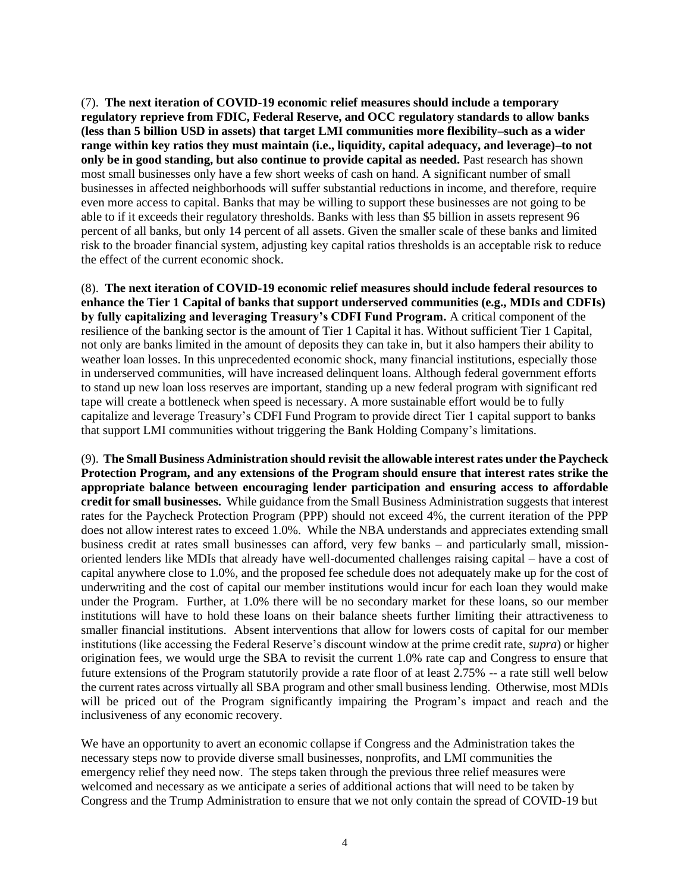(7). **The next iteration of COVID-19 economic relief measures should include a temporary regulatory reprieve from FDIC, Federal Reserve, and OCC regulatory standards to allow banks (less than 5 billion USD in assets) that target LMI communities more flexibility–such as a wider range within key ratios they must maintain (i.e., liquidity, capital adequacy, and leverage)–to not only be in good standing, but also continue to provide capital as needed.** Past research has shown most small businesses only have a few short weeks of cash on hand. A significant number of small businesses in affected neighborhoods will suffer substantial reductions in income, and therefore, require even more access to capital. Banks that may be willing to support these businesses are not going to be able to if it exceeds their regulatory thresholds. Banks with less than \$5 billion in assets represent 96 percent of all banks, but only 14 percent of all assets. Given the smaller scale of these banks and limited risk to the broader financial system, adjusting key capital ratios thresholds is an acceptable risk to reduce the effect of the current economic shock.

(8). **The next iteration of COVID-19 economic relief measures should include federal resources to enhance the Tier 1 Capital of banks that support underserved communities (e.g., MDIs and CDFIs) by fully capitalizing and leveraging Treasury's CDFI Fund Program.** A critical component of the resilience of the banking sector is the amount of Tier 1 Capital it has. Without sufficient Tier 1 Capital, not only are banks limited in the amount of deposits they can take in, but it also hampers their ability to weather loan losses. In this unprecedented economic shock, many financial institutions, especially those in underserved communities, will have increased delinquent loans. Although federal government efforts to stand up new loan loss reserves are important, standing up a new federal program with significant red tape will create a bottleneck when speed is necessary. A more sustainable effort would be to fully capitalize and leverage Treasury's CDFI Fund Program to provide direct Tier 1 capital support to banks that support LMI communities without triggering the Bank Holding Company's limitations.

(9). **The Small Business Administration should revisit the allowable interest rates under the Paycheck Protection Program, and any extensions of the Program should ensure that interest rates strike the appropriate balance between encouraging lender participation and ensuring access to affordable credit for small businesses.** While guidance from the Small Business Administration suggests that interest rates for the Paycheck Protection Program (PPP) should not exceed 4%, the current iteration of the PPP does not allow interest rates to exceed 1.0%. While the NBA understands and appreciates extending small business credit at rates small businesses can afford, very few banks – and particularly small, missionoriented lenders like MDIs that already have well-documented challenges raising capital – have a cost of capital anywhere close to 1.0%, and the proposed fee schedule does not adequately make up for the cost of underwriting and the cost of capital our member institutions would incur for each loan they would make under the Program. Further, at 1.0% there will be no secondary market for these loans, so our member institutions will have to hold these loans on their balance sheets further limiting their attractiveness to smaller financial institutions. Absent interventions that allow for lowers costs of capital for our member institutions (like accessing the Federal Reserve's discount window at the prime credit rate, *supra*) or higher origination fees, we would urge the SBA to revisit the current 1.0% rate cap and Congress to ensure that future extensions of the Program statutorily provide a rate floor of at least 2.75% -- a rate still well below the current rates across virtually all SBA program and other small business lending. Otherwise, most MDIs will be priced out of the Program significantly impairing the Program's impact and reach and the inclusiveness of any economic recovery.

We have an opportunity to avert an economic collapse if Congress and the Administration takes the necessary steps now to provide diverse small businesses, nonprofits, and LMI communities the emergency relief they need now. The steps taken through the previous three relief measures were welcomed and necessary as we anticipate a series of additional actions that will need to be taken by Congress and the Trump Administration to ensure that we not only contain the spread of COVID-19 but